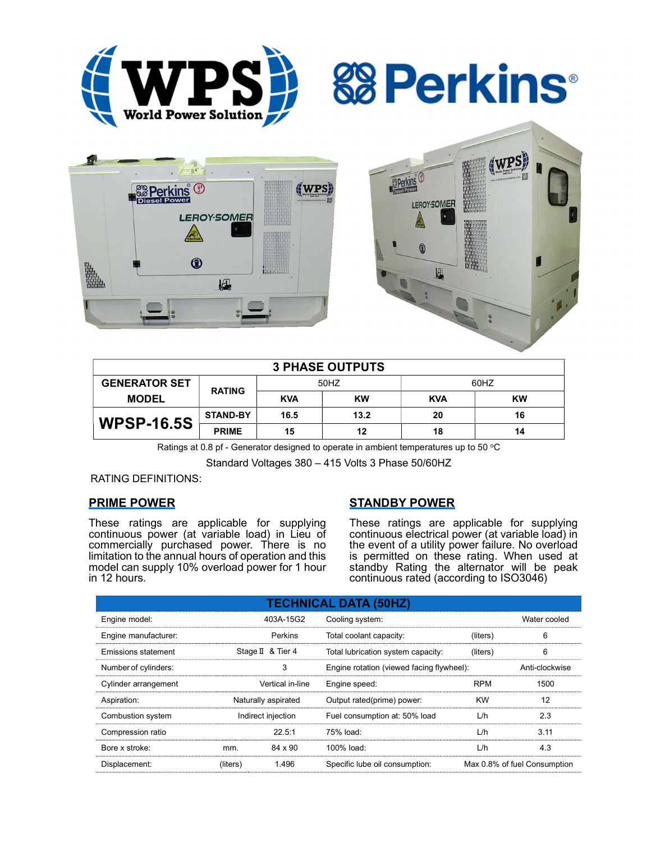

*<b>&* Perkins®





| <b>3 PHASE OUTPUTS</b> |                 |            |      |            |    |  |
|------------------------|-----------------|------------|------|------------|----|--|
| <b>GENERATOR SET</b>   | <b>RATING</b>   | 50HZ       |      | 60HZ       |    |  |
| <b>MODEL</b>           |                 | <b>KVA</b> | KW   | <b>KVA</b> | KW |  |
| <b>WPSP-16.5S</b>      | <b>STAND-BY</b> | 16.5       | 13.2 | 20         | 16 |  |
|                        | <b>PRIME</b>    | 15         | 12   | 18         | 14 |  |

Ratings at 0.8 pf - Generator designed to operate in ambient temperatures up to 50  $^{\circ}$ C

Standard Voltages 380 – 415 Volts 3 Phase 50/60HZ

RATING DEFINITIONS:

### PRIME POWER

These ratings are applicable for supplying continuous power (at variable load) in Lieu of commercially purchased power. There is no limitation to the annual hours of operation and this model can supply 10% overload power for 1 hour in 12 hours.

### STANDBY POWER

These ratings are applicable for supplying continuous electrical power (at variable load) in the event of a utility power failure. No overload is permitted on these rating. When used at standby Rating the alternator will be peak continuous rated (according to ISO3046)

| <b>TECHNICAL DATA (50HZ)</b> |                     |                   |                                           |            |                              |  |
|------------------------------|---------------------|-------------------|-------------------------------------------|------------|------------------------------|--|
| Engine model:                |                     | 403A-15G2         | Cooling system:                           |            | Water cooled                 |  |
| Engine manufacturer:         |                     | Perkins           | Total coolant capacity:                   | (liters)   | 6                            |  |
| Emissions statement          |                     | Stage II & Tier 4 | Total lubrication system capacity:        | (liters)   | 6                            |  |
| Number of cylinders:         | 3                   |                   | Engine rotation (viewed facing flywheel): |            | Anti-clockwise               |  |
| Cylinder arrangement         |                     | Vertical in-line  | Engine speed:                             | <b>RPM</b> | 1500                         |  |
| Aspiration:                  | Naturally aspirated |                   | Output rated(prime) power:                | <b>KW</b>  | 12                           |  |
| Combustion system            | Indirect injection  |                   | Fuel consumption at: 50% load             | L/h        | 2.3                          |  |
| Compression ratio            |                     | 22.5:1            | 75% load:                                 | L/h        | 3.11                         |  |
| Bore x stroke:               | mm.                 | 84 x 90           | $100\%$ load:                             | L/h        | 4.3                          |  |
| Displacement:                | (liters)            | 1.496             | Specific lube oil consumption:            |            | Max 0.8% of fuel Consumption |  |